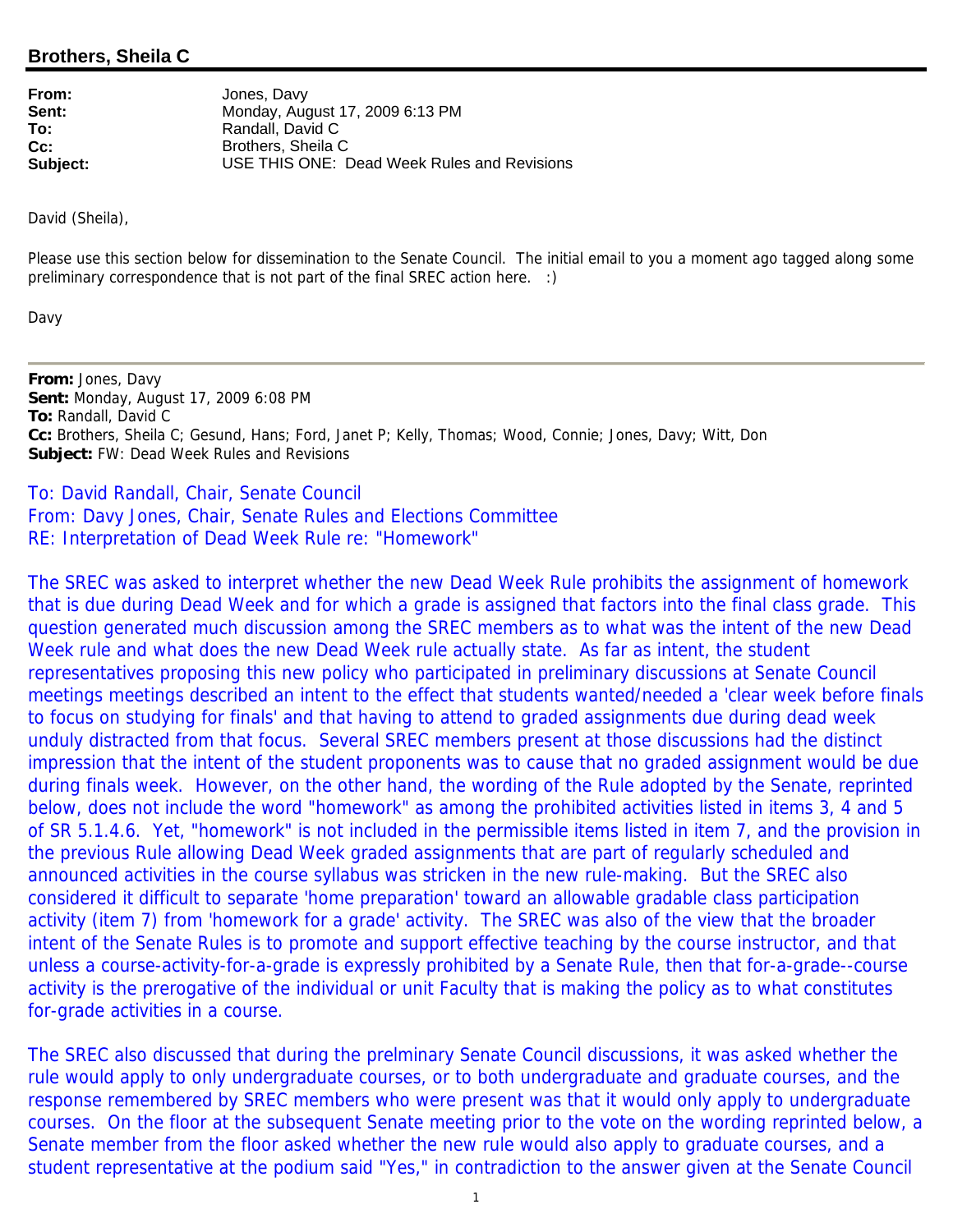## **Brothers, Sheila C**

| From:           | Jones, Davy                                 |
|-----------------|---------------------------------------------|
| Sent:           | Monday, August 17, 2009 6:13 PM             |
| To:             | Randall, David C                            |
| $\mathsf{Cc}$ : | Brothers, Sheila C                          |
| Subject:        | USE THIS ONE: Dead Week Rules and Revisions |

David (Sheila),

Please use this section below for dissemination to the Senate Council. The initial email to you a moment ago tagged along some preliminary correspondence that is not part of the final SREC action here. :)

Davy

**From:** Jones, Davy **Sent:** Monday, August 17, 2009 6:08 PM **To:** Randall, David C **Cc:** Brothers, Sheila C; Gesund, Hans; Ford, Janet P; Kelly, Thomas; Wood, Connie; Jones, Davy; Witt, Don **Subject:** FW: Dead Week Rules and Revisions

To: David Randall, Chair, Senate Council From: Davy Jones, Chair, Senate Rules and Elections Committee RE: Interpretation of Dead Week Rule re: "Homework"

The SREC was asked to interpret whether the new Dead Week Rule prohibits the assignment of homework that is due during Dead Week and for which a grade is assigned that factors into the final class grade. This question generated much discussion among the SREC members as to what was the intent of the new Dead Week rule and what does the new Dead Week rule actually state. As far as intent, the student representatives proposing this new policy who participated in preliminary discussions at Senate Council meetings meetings described an intent to the effect that students wanted/needed a 'clear week before finals to focus on studying for finals' and that having to attend to graded assignments due during dead week unduly distracted from that focus. Several SREC members present at those discussions had the distinct impression that the intent of the student proponents was to cause that no graded assignment would be due during finals week. However, on the other hand, the wording of the Rule adopted by the Senate, reprinted below, does not include the word "homework" as among the prohibited activities listed in items 3, 4 and 5 of SR 5.1.4.6. Yet, "homework" is not included in the permissible items listed in item 7, and the provision in the previous Rule allowing Dead Week graded assignments that are part of regularly scheduled and announced activities in the course syllabus was stricken in the new rule-making. But the SREC also considered it difficult to separate 'home preparation' toward an allowable gradable class participation activity (item 7) from 'homework for a grade' activity. The SREC was also of the view that the broader intent of the Senate Rules is to promote and support effective teaching by the course instructor, and that unless a course-activity-for-a-grade is expressly prohibited by a Senate Rule, then that for-a-grade--course activity is the prerogative of the individual or unit Faculty that is making the policy as to what constitutes for-grade activities in a course.

The SREC also discussed that during the prelminary Senate Council discussions, it was asked whether the rule would apply to only undergraduate courses, or to both undergraduate and graduate courses, and the response remembered by SREC members who were present was that it would only apply to undergraduate courses. On the floor at the subsequent Senate meeting prior to the vote on the wording reprinted below, a Senate member from the floor asked whether the new rule would also apply to graduate courses, and a student representative at the podium said "Yes," in contradiction to the answer given at the Senate Council